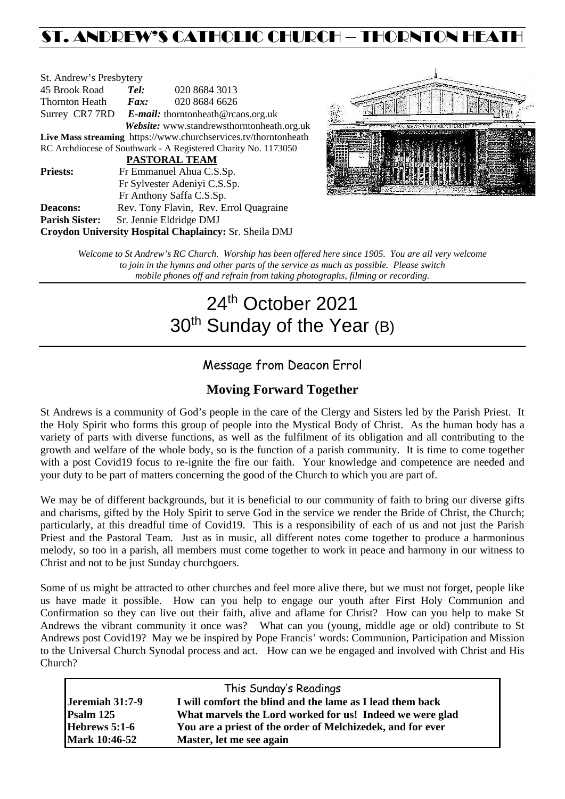## ST. ANDREW'S CATHOLIC CHURCH – THORNTON HEATH

| St. Andrew's Presbytery                                         |                                                   |               |  |  |  |
|-----------------------------------------------------------------|---------------------------------------------------|---------------|--|--|--|
| 45 Brook Road                                                   | Tel:                                              | 020 8684 3013 |  |  |  |
| Thornton Heath                                                  | $\boldsymbol{F}$ <i>ax</i> :                      | 020 8684 6626 |  |  |  |
|                                                                 | Surrey CR7 7RD E-mail: thorntonheath@rcaos.org.uk |               |  |  |  |
| Website: www.standrewsthorntonheath.org.uk                      |                                                   |               |  |  |  |
| Live Mass streaming https://www.churchservices.tv/thorntonheath |                                                   |               |  |  |  |
| RC Archdiocese of Southwark - A Registered Charity No. 1173050  |                                                   |               |  |  |  |
| PASTORAL TEAM                                                   |                                                   |               |  |  |  |
| <b>Priests:</b>                                                 | Fr Emmanuel Ahua C.S.Sp.                          |               |  |  |  |
|                                                                 | Fr Sylvester Adeniyi C.S.Sp.                      |               |  |  |  |
|                                                                 | Fr Anthony Saffa C.S.Sp.                          |               |  |  |  |
| Deacons:                                                        | Rev. Tony Flavin, Rev. Errol Quagraine            |               |  |  |  |
| <b>Parish Sister:</b>                                           | Sr. Jennie Eldridge DMJ                           |               |  |  |  |
| <b>Croydon University Hospital Chaplaincy: Sr. Sheila DMJ</b>   |                                                   |               |  |  |  |



*Welcome to St Andrew's RC Church. Worship has been offered here since 1905. You are all very welcome to join in the hymns and other parts of the service as much as possible. Please switch mobile phones off and refrain from taking photographs, filming or recording.*

# 24<sup>th</sup> October 2021 30<sup>th</sup> Sunday of the Year (B)

## Message from Deacon Errol

### **Moving Forward Together**

St Andrews is a community of God's people in the care of the Clergy and Sisters led by the Parish Priest. It the Holy Spirit who forms this group of people into the Mystical Body of Christ. As the human body has a variety of parts with diverse functions, as well as the fulfilment of its obligation and all contributing to the growth and welfare of the whole body, so is the function of a parish community. It is time to come together with a post Covid19 focus to re-ignite the fire our faith. Your knowledge and competence are needed and your duty to be part of matters concerning the good of the Church to which you are part of.

We may be of different backgrounds, but it is beneficial to our community of faith to bring our diverse gifts and charisms, gifted by the Holy Spirit to serve God in the service we render the Bride of Christ, the Church; particularly, at this dreadful time of Covid19. This is a responsibility of each of us and not just the Parish Priest and the Pastoral Team. Just as in music, all different notes come together to produce a harmonious melody, so too in a parish, all members must come together to work in peace and harmony in our witness to Christ and not to be just Sunday churchgoers.

Some of us might be attracted to other churches and feel more alive there, but we must not forget, people like us have made it possible. How can you help to engage our youth after First Holy Communion and Confirmation so they can live out their faith, alive and aflame for Christ? How can you help to make St Andrews the vibrant community it once was? What can you (young, middle age or old) contribute to St Andrews post Covid19? May we be inspired by Pope Francis' words: Communion, Participation and Mission to the Universal Church Synodal process and act. How can we be engaged and involved with Christ and His Church?

| This Sunday's Readings |                                                            |  |  |  |
|------------------------|------------------------------------------------------------|--|--|--|
| Jeremiah 31:7-9        | I will comfort the blind and the lame as I lead them back  |  |  |  |
| Psalm 125              | What marvels the Lord worked for us! Indeed we were glad   |  |  |  |
| Hebrews 5:1-6          | You are a priest of the order of Melchizedek, and for ever |  |  |  |
| <b>Mark 10:46-52</b>   | Master, let me see again                                   |  |  |  |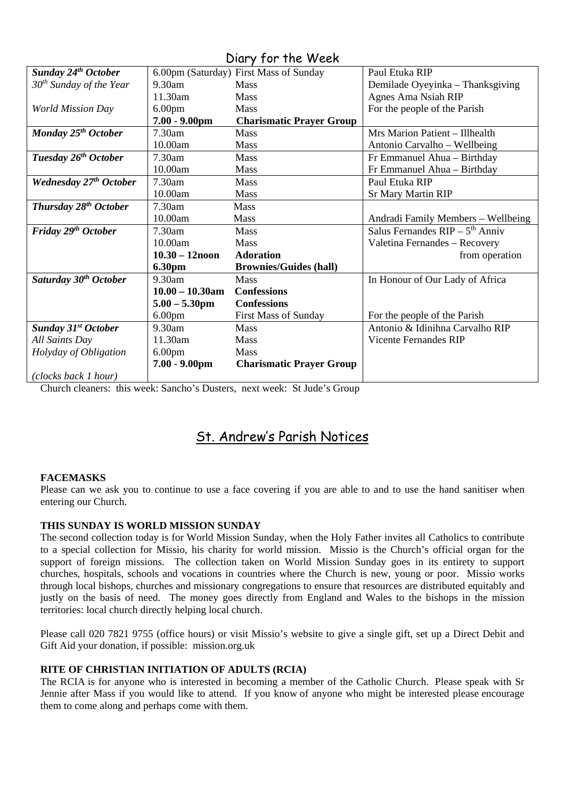| $5.21$ $1.51$ $1.15$ $1.75$       |                    |                                        |                                    |  |  |
|-----------------------------------|--------------------|----------------------------------------|------------------------------------|--|--|
| <b>Sunday 24th October</b>        |                    | 6.00pm (Saturday) First Mass of Sunday | Paul Etuka RIP                     |  |  |
| $30th$ Sunday of the Year         | $9.30$ am          | <b>Mass</b>                            | Demilade Oyeyinka - Thanksgiving   |  |  |
|                                   | 11.30am            | <b>Mass</b>                            | Agnes Ama Nsiah RIP                |  |  |
| <b>World Mission Day</b>          | 6.00 <sub>pm</sub> | <b>Mass</b>                            | For the people of the Parish       |  |  |
|                                   | $7.00 - 9.00$ pm   | <b>Charismatic Prayer Group</b>        |                                    |  |  |
| Monday 25 <sup>th</sup> October   | 7.30am             | <b>Mass</b>                            | Mrs Marion Patient - Illhealth     |  |  |
|                                   | 10.00am            | <b>Mass</b>                            | Antonio Carvalho - Wellbeing       |  |  |
| Tuesday 26 <sup>th</sup> October  | $7.30$ am          | <b>Mass</b>                            | Fr Emmanuel Ahua - Birthday        |  |  |
|                                   | 10.00am            | <b>Mass</b>                            | Fr Emmanuel Ahua - Birthday        |  |  |
| <b>Wednesday 27th October</b>     | 7.30am             | <b>Mass</b>                            | Paul Etuka RIP                     |  |  |
|                                   | 10.00am            | <b>Mass</b>                            | <b>Sr Mary Martin RIP</b>          |  |  |
| Thursday 28 <sup>th</sup> October | 7.30am             | Mass                                   |                                    |  |  |
|                                   | 10.00am            | Mass                                   | Andradi Family Members - Wellbeing |  |  |
| Friday 29th October               | $7.30$ am          | <b>Mass</b>                            | Salus Fernandes $RIP - 5th$ Anniv  |  |  |
|                                   | 10.00am            | Mass                                   | Valetina Fernandes - Recovery      |  |  |
|                                   | $10.30 - 12$ noon  | <b>Adoration</b>                       | from operation                     |  |  |
|                                   | <b>6.30pm</b>      | <b>Brownies/Guides (hall)</b>          |                                    |  |  |
| Saturday 30 <sup>th</sup> October | 9.30am             | <b>Mass</b>                            | In Honour of Our Lady of Africa    |  |  |
|                                   | $10.00 - 10.30$ am | <b>Confessions</b>                     |                                    |  |  |
|                                   | $5.00 - 5.30$ pm   | <b>Confessions</b>                     |                                    |  |  |
|                                   | 6.00 <sub>pm</sub> | <b>First Mass of Sunday</b>            | For the people of the Parish       |  |  |
| <b>Sunday 31st October</b>        | $9.30$ am          | <b>Mass</b>                            | Antonio & Idinihna Carvalho RIP    |  |  |
| All Saints Day                    | 11.30am            | <b>Mass</b>                            | <b>Vicente Fernandes RIP</b>       |  |  |
| Holyday of Obligation             | 6.00 <sub>pm</sub> | Mass                                   |                                    |  |  |
|                                   | $7.00 - 9.00$ pm   | <b>Charismatic Prayer Group</b>        |                                    |  |  |
| (clocks back 1 hour)              |                    |                                        |                                    |  |  |

#### Diary for the Week

Church cleaners: this week: Sancho's Dusters, next week: St Jude's Group

## St. Andrew's Parish Notices

#### **FACEMASKS**

Please can we ask you to continue to use a face covering if you are able to and to use the hand sanitiser when entering our Church.

#### **THIS SUNDAY IS WORLD MISSION SUNDAY**

The second collection today is for World Mission Sunday, when the Holy Father invites all Catholics to contribute to a special collection for Missio, his charity for world mission. Missio is the Church's official organ for the support of foreign missions. The collection taken on World Mission Sunday goes in its entirety to support churches, hospitals, schools and vocations in countries where the Church is new, young or poor. Missio works through local bishops, churches and missionary congregations to ensure that resources are distributed equitably and justly on the basis of need. The money goes directly from England and Wales to the bishops in the mission territories: local church directly helping local church.

Please call 020 7821 9755 (office hours) or visit Missio's website to give a single gift, set up a Direct Debit and Gift Aid your donation, if possible: mission.org.uk

#### **RITE OF CHRISTIAN INITIATION OF ADULTS (RCIA)**

The RCIA is for anyone who is interested in becoming a member of the Catholic Church. Please speak with Sr Jennie after Mass if you would like to attend. If you know of anyone who might be interested please encourage them to come along and perhaps come with them.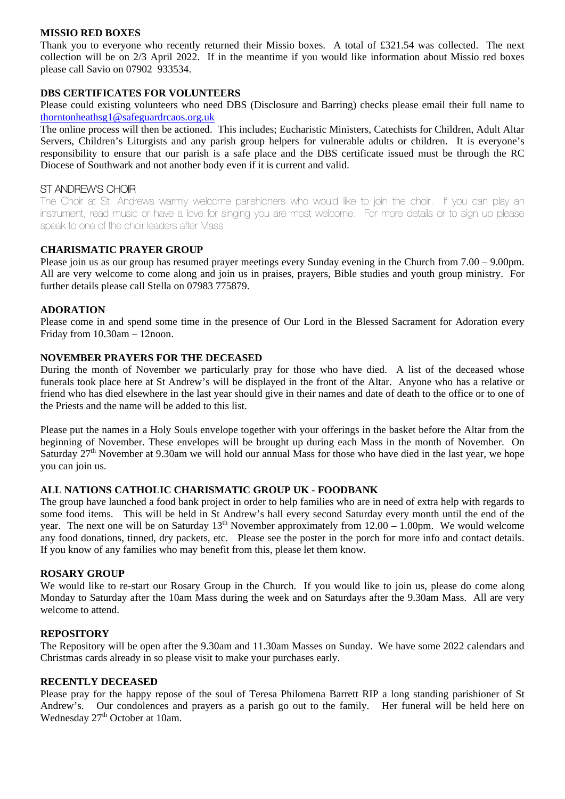#### **MISSIO RED BOXES**

Thank you to everyone who recently returned their Missio boxes. A total of £321.54 was collected. The next collection will be on 2/3 April 2022. If in the meantime if you would like information about Missio red boxes please call Savio on 07902 933534.

#### **DBS CERTIFICATES FOR VOLUNTEERS**

Please could existing volunteers who need DBS (Disclosure and Barring) checks please email their full name to [thorntonheathsg1@safeguardrcaos.org.uk](mailto:thorntonheathsg1@safeguardrcaos.org.uk)

The online process will then be actioned. This includes; Eucharistic Ministers, Catechists for Children, Adult Altar Servers, Children's Liturgists and any parish group helpers for vulnerable adults or children. It is everyone's responsibility to ensure that our parish is a safe place and the DBS certificate issued must be through the RC Diocese of Southwark and not another body even if it is current and valid.

#### ST ANDREW'S CHOIR

The Choir at St. Andrews warmly welcome parishioners who would like to join the choir. If you can play an instrument, read music or have a love for singing you are most welcome. For more details or to sign up please speak to one of the choir leaders after Mass.

#### **CHARISMATIC PRAYER GROUP**

Please join us as our group has resumed prayer meetings every Sunday evening in the Church from 7.00 – 9.00pm. All are very welcome to come along and join us in praises, prayers, Bible studies and youth group ministry. For further details please call Stella on 07983 775879.

#### **ADORATION**

Please come in and spend some time in the presence of Our Lord in the Blessed Sacrament for Adoration every Friday from 10.30am – 12noon.

#### **NOVEMBER PRAYERS FOR THE DECEASED**

During the month of November we particularly pray for those who have died. A list of the deceased whose funerals took place here at St Andrew's will be displayed in the front of the Altar. Anyone who has a relative or friend who has died elsewhere in the last year should give in their names and date of death to the office or to one of the Priests and the name will be added to this list.

Please put the names in a Holy Souls envelope together with your offerings in the basket before the Altar from the beginning of November. These envelopes will be brought up during each Mass in the month of November. On Saturday 27<sup>th</sup> November at 9.30am we will hold our annual Mass for those who have died in the last year, we hope you can join us.

#### **ALL NATIONS CATHOLIC CHARISMATIC GROUP UK - FOODBANK**

The group have launched a food bank project in order to help families who are in need of extra help with regards to some food items. This will be held in St Andrew's hall every second Saturday every month until the end of the year. The next one will be on Saturday  $13<sup>th</sup>$  November approximately from  $12.00 - 1.00$ pm. We would welcome any food donations, tinned, dry packets, etc. Please see the poster in the porch for more info and contact details. If you know of any families who may benefit from this, please let them know.

#### **ROSARY GROUP**

We would like to re-start our Rosary Group in the Church. If you would like to join us, please do come along Monday to Saturday after the 10am Mass during the week and on Saturdays after the 9.30am Mass. All are very welcome to attend.

#### **REPOSITORY**

The Repository will be open after the 9.30am and 11.30am Masses on Sunday. We have some 2022 calendars and Christmas cards already in so please visit to make your purchases early.

#### **RECENTLY DECEASED**

Please pray for the happy repose of the soul of Teresa Philomena Barrett RIP a long standing parishioner of St Andrew's. Our condolences and prayers as a parish go out to the family. Her funeral will be held here on Wednesday 27<sup>th</sup> October at 10am.